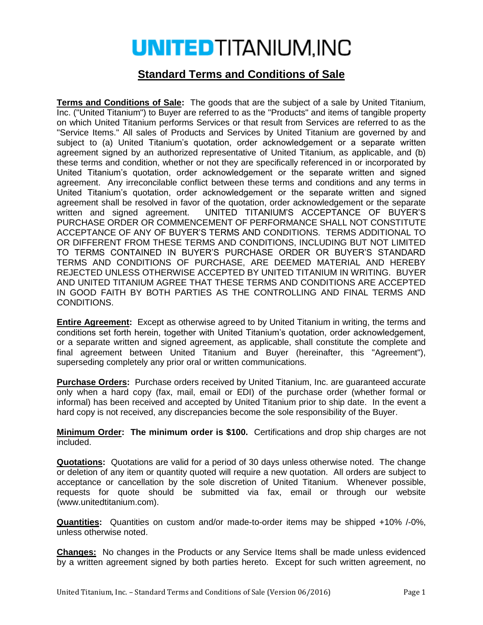## **UNITEDTITANIUM, INC**

## **Standard Terms and Conditions of Sale**

**Terms and Conditions of Sale:** The goods that are the subject of a sale by United Titanium, Inc. ("United Titanium") to Buyer are referred to as the "Products" and items of tangible property on which United Titanium performs Services or that result from Services are referred to as the "Service Items." All sales of Products and Services by United Titanium are governed by and subject to (a) United Titanium's quotation, order acknowledgement or a separate written agreement signed by an authorized representative of United Titanium, as applicable, and (b) these terms and condition, whether or not they are specifically referenced in or incorporated by United Titanium's quotation, order acknowledgement or the separate written and signed agreement. Any irreconcilable conflict between these terms and conditions and any terms in United Titanium's quotation, order acknowledgement or the separate written and signed agreement shall be resolved in favor of the quotation, order acknowledgement or the separate written and signed agreement. UNITED TITANIUM'S ACCEPTANCE OF BUYER'S PURCHASE ORDER OR COMMENCEMENT OF PERFORMANCE SHALL NOT CONSTITUTE ACCEPTANCE OF ANY OF BUYER'S TERMS AND CONDITIONS. TERMS ADDITIONAL TO OR DIFFERENT FROM THESE TERMS AND CONDITIONS, INCLUDING BUT NOT LIMITED TO TERMS CONTAINED IN BUYER'S PURCHASE ORDER OR BUYER'S STANDARD TERMS AND CONDITIONS OF PURCHASE, ARE DEEMED MATERIAL AND HEREBY REJECTED UNLESS OTHERWISE ACCEPTED BY UNITED TITANIUM IN WRITING. BUYER AND UNITED TITANIUM AGREE THAT THESE TERMS AND CONDITIONS ARE ACCEPTED IN GOOD FAITH BY BOTH PARTIES AS THE CONTROLLING AND FINAL TERMS AND CONDITIONS.

**Entire Agreement:** Except as otherwise agreed to by United Titanium in writing, the terms and conditions set forth herein, together with United Titanium's quotation, order acknowledgement, or a separate written and signed agreement, as applicable, shall constitute the complete and final agreement between United Titanium and Buyer (hereinafter, this "Agreement"), superseding completely any prior oral or written communications.

**Purchase Orders:** Purchase orders received by United Titanium, Inc. are guaranteed accurate only when a hard copy (fax, mail, email or EDI) of the purchase order (whether formal or informal) has been received and accepted by United Titanium prior to ship date. In the event a hard copy is not received, any discrepancies become the sole responsibility of the Buyer.

**Minimum Order: The minimum order is \$100.** Certifications and drop ship charges are not included.

**Quotations:** Quotations are valid for a period of 30 days unless otherwise noted. The change or deletion of any item or quantity quoted will require a new quotation. All orders are subject to acceptance or cancellation by the sole discretion of United Titanium. Whenever possible, requests for quote should be submitted via fax, email or through our website (www.unitedtitanium.com).

**Quantities:** Quantities on custom and/or made-to-order items may be shipped +10% /-0%, unless otherwise noted.

**Changes:** No changes in the Products or any Service Items shall be made unless evidenced by a written agreement signed by both parties hereto. Except for such written agreement, no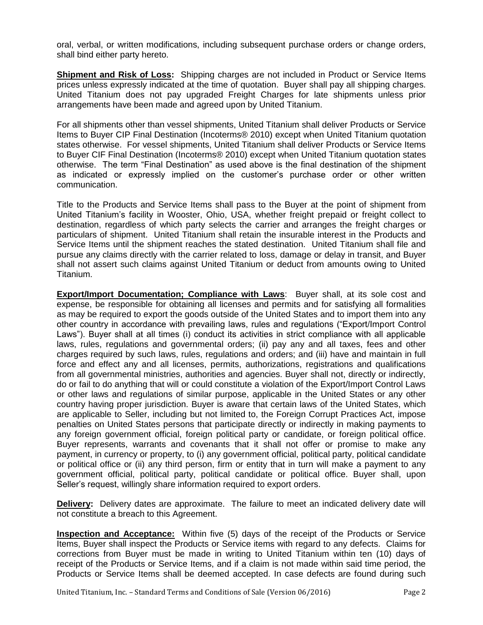oral, verbal, or written modifications, including subsequent purchase orders or change orders, shall bind either party hereto.

**Shipment and Risk of Loss:** Shipping charges are not included in Product or Service Items prices unless expressly indicated at the time of quotation. Buyer shall pay all shipping charges. United Titanium does not pay upgraded Freight Charges for late shipments unless prior arrangements have been made and agreed upon by United Titanium.

For all shipments other than vessel shipments, United Titanium shall deliver Products or Service Items to Buyer CIP Final Destination (Incoterms® 2010) except when United Titanium quotation states otherwise. For vessel shipments, United Titanium shall deliver Products or Service Items to Buyer CIF Final Destination (Incoterms® 2010) except when United Titanium quotation states otherwise. The term "Final Destination" as used above is the final destination of the shipment as indicated or expressly implied on the customer's purchase order or other written communication.

Title to the Products and Service Items shall pass to the Buyer at the point of shipment from United Titanium's facility in Wooster, Ohio, USA, whether freight prepaid or freight collect to destination, regardless of which party selects the carrier and arranges the freight charges or particulars of shipment. United Titanium shall retain the insurable interest in the Products and Service Items until the shipment reaches the stated destination. United Titanium shall file and pursue any claims directly with the carrier related to loss, damage or delay in transit, and Buyer shall not assert such claims against United Titanium or deduct from amounts owing to United Titanium.

**Export/Import Documentation; Compliance with Laws**: Buyer shall, at its sole cost and expense, be responsible for obtaining all licenses and permits and for satisfying all formalities as may be required to export the goods outside of the United States and to import them into any other country in accordance with prevailing laws, rules and regulations ("Export/Import Control Laws"). Buyer shall at all times (i) conduct its activities in strict compliance with all applicable laws, rules, regulations and governmental orders; (ii) pay any and all taxes, fees and other charges required by such laws, rules, regulations and orders; and (iii) have and maintain in full force and effect any and all licenses, permits, authorizations, registrations and qualifications from all governmental ministries, authorities and agencies. Buyer shall not, directly or indirectly, do or fail to do anything that will or could constitute a violation of the Export/Import Control Laws or other laws and regulations of similar purpose, applicable in the United States or any other country having proper jurisdiction. Buyer is aware that certain laws of the United States, which are applicable to Seller, including but not limited to, the Foreign Corrupt Practices Act, impose penalties on United States persons that participate directly or indirectly in making payments to any foreign government official, foreign political party or candidate, or foreign political office. Buyer represents, warrants and covenants that it shall not offer or promise to make any payment, in currency or property, to (i) any government official, political party, political candidate or political office or (ii) any third person, firm or entity that in turn will make a payment to any government official, political party, political candidate or political office. Buyer shall, upon Seller's request, willingly share information required to export orders.

**Delivery:** Delivery dates are approximate. The failure to meet an indicated delivery date will not constitute a breach to this Agreement.

**Inspection and Acceptance:** Within five (5) days of the receipt of the Products or Service Items, Buyer shall inspect the Products or Service items with regard to any defects. Claims for corrections from Buyer must be made in writing to United Titanium within ten (10) days of receipt of the Products or Service Items, and if a claim is not made within said time period, the Products or Service Items shall be deemed accepted. In case defects are found during such

United Titanium, Inc. – Standard Terms and Conditions of Sale (Version 06/2016) Page 2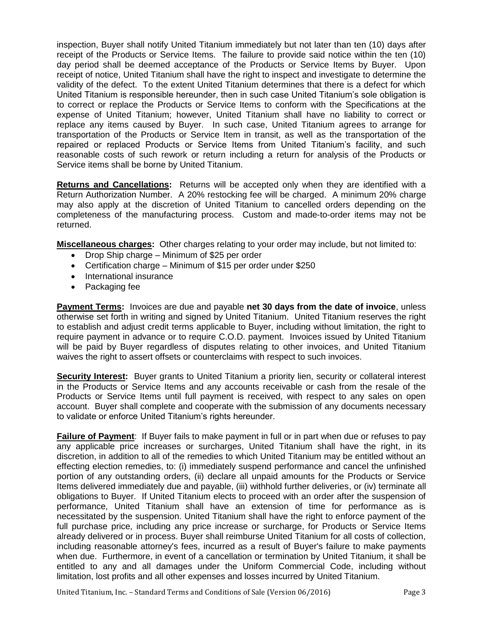inspection, Buyer shall notify United Titanium immediately but not later than ten (10) days after receipt of the Products or Service Items. The failure to provide said notice within the ten (10) day period shall be deemed acceptance of the Products or Service Items by Buyer. Upon receipt of notice, United Titanium shall have the right to inspect and investigate to determine the validity of the defect. To the extent United Titanium determines that there is a defect for which United Titanium is responsible hereunder, then in such case United Titanium's sole obligation is to correct or replace the Products or Service Items to conform with the Specifications at the expense of United Titanium; however, United Titanium shall have no liability to correct or replace any items caused by Buyer. In such case, United Titanium agrees to arrange for transportation of the Products or Service Item in transit, as well as the transportation of the repaired or replaced Products or Service Items from United Titanium's facility, and such reasonable costs of such rework or return including a return for analysis of the Products or Service items shall be borne by United Titanium.

**Returns and Cancellations:** Returns will be accepted only when they are identified with a Return Authorization Number. A 20% restocking fee will be charged. A minimum 20% charge may also apply at the discretion of United Titanium to cancelled orders depending on the completeness of the manufacturing process. Custom and made-to-order items may not be returned.

**Miscellaneous charges:** Other charges relating to your order may include, but not limited to:

- Drop Ship charge Minimum of \$25 per order
- Certification charge Minimum of \$15 per order under \$250
- International insurance
- Packaging fee

**Payment Terms:** Invoices are due and payable **net 30 days from the date of invoice**, unless otherwise set forth in writing and signed by United Titanium. United Titanium reserves the right to establish and adjust credit terms applicable to Buyer, including without limitation, the right to require payment in advance or to require C.O.D. payment. Invoices issued by United Titanium will be paid by Buyer regardless of disputes relating to other invoices, and United Titanium waives the right to assert offsets or counterclaims with respect to such invoices.

**Security Interest:** Buyer grants to United Titanium a priority lien, security or collateral interest in the Products or Service Items and any accounts receivable or cash from the resale of the Products or Service Items until full payment is received, with respect to any sales on open account. Buyer shall complete and cooperate with the submission of any documents necessary to validate or enforce United Titanium's rights hereunder.

**Failure of Payment**: If Buyer fails to make payment in full or in part when due or refuses to pay any applicable price increases or surcharges, United Titanium shall have the right, in its discretion, in addition to all of the remedies to which United Titanium may be entitled without an effecting election remedies, to: (i) immediately suspend performance and cancel the unfinished portion of any outstanding orders, (ii) declare all unpaid amounts for the Products or Service Items delivered immediately due and payable, (iii) withhold further deliveries, or (iv) terminate all obligations to Buyer. If United Titanium elects to proceed with an order after the suspension of performance, United Titanium shall have an extension of time for performance as is necessitated by the suspension. United Titanium shall have the right to enforce payment of the full purchase price, including any price increase or surcharge, for Products or Service Items already delivered or in process. Buyer shall reimburse United Titanium for all costs of collection, including reasonable attorney's fees, incurred as a result of Buyer's failure to make payments when due. Furthermore, in event of a cancellation or termination by United Titanium, it shall be entitled to any and all damages under the Uniform Commercial Code, including without limitation, lost profits and all other expenses and losses incurred by United Titanium.

United Titanium, Inc. – Standard Terms and Conditions of Sale (Version 06/2016) Page 3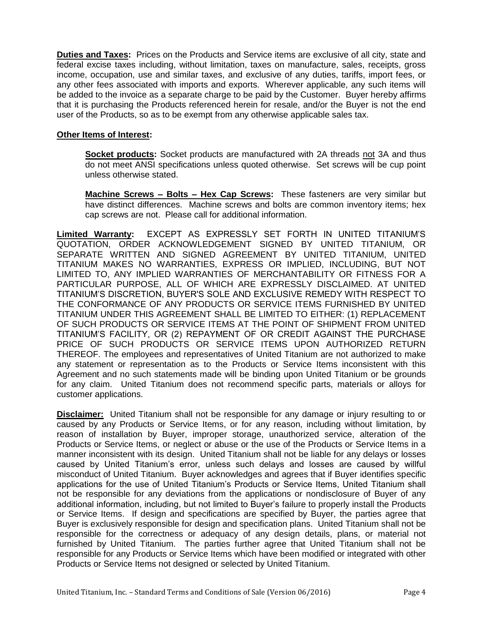**Duties and Taxes:** Prices on the Products and Service items are exclusive of all city, state and federal excise taxes including, without limitation, taxes on manufacture, sales, receipts, gross income, occupation, use and similar taxes, and exclusive of any duties, tariffs, import fees, or any other fees associated with imports and exports. Wherever applicable, any such items will be added to the invoice as a separate charge to be paid by the Customer. Buyer hereby affirms that it is purchasing the Products referenced herein for resale, and/or the Buyer is not the end user of the Products, so as to be exempt from any otherwise applicable sales tax.

## **Other Items of Interest:**

**Socket products:** Socket products are manufactured with 2A threads not 3A and thus do not meet ANSI specifications unless quoted otherwise. Set screws will be cup point unless otherwise stated.

**Machine Screws – Bolts – Hex Cap Screws:** These fasteners are very similar but have distinct differences. Machine screws and bolts are common inventory items; hex cap screws are not. Please call for additional information.

**Limited Warranty:** EXCEPT AS EXPRESSLY SET FORTH IN UNITED TITANIUM'S QUOTATION, ORDER ACKNOWLEDGEMENT SIGNED BY UNITED TITANIUM, OR SEPARATE WRITTEN AND SIGNED AGREEMENT BY UNITED TITANIUM, UNITED TITANIUM MAKES NO WARRANTIES, EXPRESS OR IMPLIED, INCLUDING, BUT NOT LIMITED TO, ANY IMPLIED WARRANTIES OF MERCHANTABILITY OR FITNESS FOR A PARTICULAR PURPOSE, ALL OF WHICH ARE EXPRESSLY DISCLAIMED. AT UNITED TITANIUM'S DISCRETION, BUYER'S SOLE AND EXCLUSIVE REMEDY WITH RESPECT TO THE CONFORMANCE OF ANY PRODUCTS OR SERVICE ITEMS FURNISHED BY UNITED TITANIUM UNDER THIS AGREEMENT SHALL BE LIMITED TO EITHER: (1) REPLACEMENT OF SUCH PRODUCTS OR SERVICE ITEMS AT THE POINT OF SHIPMENT FROM UNITED TITANIUM'S FACILITY, OR (2) REPAYMENT OF OR CREDIT AGAINST THE PURCHASE PRICE OF SUCH PRODUCTS OR SERVICE ITEMS UPON AUTHORIZED RETURN THEREOF. The employees and representatives of United Titanium are not authorized to make any statement or representation as to the Products or Service Items inconsistent with this Agreement and no such statements made will be binding upon United Titanium or be grounds for any claim. United Titanium does not recommend specific parts, materials or alloys for customer applications.

**Disclaimer:** United Titanium shall not be responsible for any damage or injury resulting to or caused by any Products or Service Items, or for any reason, including without limitation, by reason of installation by Buyer, improper storage, unauthorized service, alteration of the Products or Service Items, or neglect or abuse or the use of the Products or Service Items in a manner inconsistent with its design. United Titanium shall not be liable for any delays or losses caused by United Titanium's error, unless such delays and losses are caused by willful misconduct of United Titanium. Buyer acknowledges and agrees that if Buyer identifies specific applications for the use of United Titanium's Products or Service Items, United Titanium shall not be responsible for any deviations from the applications or nondisclosure of Buyer of any additional information, including, but not limited to Buyer's failure to properly install the Products or Service Items. If design and specifications are specified by Buyer, the parties agree that Buyer is exclusively responsible for design and specification plans. United Titanium shall not be responsible for the correctness or adequacy of any design details, plans, or material not furnished by United Titanium. The parties further agree that United Titanium shall not be responsible for any Products or Service Items which have been modified or integrated with other Products or Service Items not designed or selected by United Titanium.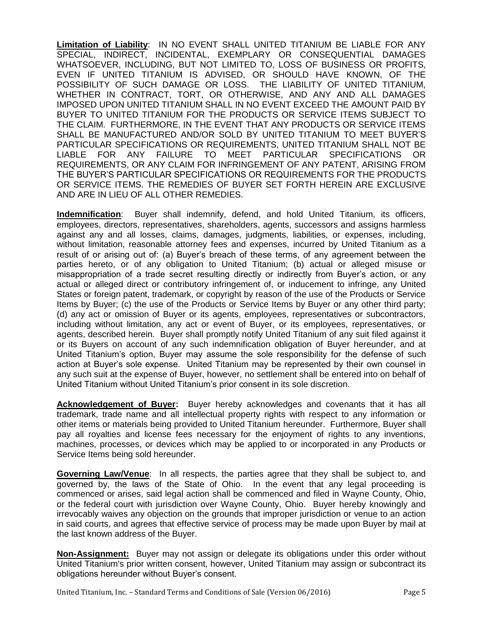**Limitation of Liability**: IN NO EVENT SHALL UNITED TITANIUM BE LIABLE FOR ANY SPECIAL, INDIRECT, INCIDENTAL, EXEMPLARY OR CONSEQUENTIAL DAMAGES WHATSOEVER, INCLUDING, BUT NOT LIMITED TO, LOSS OF BUSINESS OR PROFITS, EVEN IF UNITED TITANIUM IS ADVISED, OR SHOULD HAVE KNOWN, OF THE POSSIBILITY OF SUCH DAMAGE OR LOSS. THE LIABILITY OF UNITED TITANIUM, WHETHER IN CONTRACT, TORT, OR OTHERWISE, AND ANY AND ALL DAMAGES IMPOSED UPON UNITED TITANIUM SHALL IN NO EVENT EXCEED THE AMOUNT PAID BY BUYER TO UNITED TITANIUM FOR THE PRODUCTS OR SERVICE ITEMS SUBJECT TO THE CLAIM.FURTHERMORE, IN THE EVENT THAT ANY PRODUCTS OR SERVICE ITEMS SHALL BE MANUFACTURED AND/OR SOLD BY UNITED TITANIUM TO MEET BUYER'S PARTICULAR SPECIFICATIONS OR REQUIREMENTS, UNITED TITANIUM SHALL NOT BE LIABLE FOR ANY FAILURE TO MEET PARTICULAR SPECIFICATIONS OR REQUIREMENTS, OR ANY CLAIM FOR INFRINGEMENT OF ANY PATENT, ARISING FROM THE BUYER'S PARTICULAR SPECIFICATIONS OR REQUIREMENTS FOR THE PRODUCTS OR SERVICE ITEMS. THE REMEDIES OF BUYER SET FORTH HEREIN ARE EXCLUSIVE AND ARE IN LIEU OF ALL OTHER REMEDIES.

**Indemnification**: Buyer shall indemnify, defend, and hold United Titanium, its officers, employees, directors, representatives, shareholders, agents, successors and assigns harmless against any and all losses, claims, damages, judgments, liabilities, or expenses, including, without limitation, reasonable attorney fees and expenses, incurred by United Titanium as a result of or arising out of: (a) Buyer's breach of these terms, of any agreement between the parties hereto, or of any obligation to United Titanium; (b) actual or alleged misuse or misappropriation of a trade secret resulting directly or indirectly from Buyer's action, or any actual or alleged direct or contributory infringement of, or inducement to infringe, any United States or foreign patent, trademark, or copyright by reason of the use of the Products or Service Items by Buyer; (c) the use of the Products or Service Items by Buyer or any other third party; (d) any act or omission of Buyer or its agents, employees, representatives or subcontractors, including without limitation, any act or event of Buyer, or its employees, representatives, or agents, described herein. Buyer shall promptly notify United Titanium of any suit filed against it or its Buyers on account of any such indemnification obligation of Buyer hereunder, and at United Titanium's option, Buyer may assume the sole responsibility for the defense of such action at Buyer's sole expense. United Titanium may be represented by their own counsel in any such suit at the expense of Buyer, however, no settlement shall be entered into on behalf of United Titanium without United Titanium's prior consent in its sole discretion.

**Acknowledgement of Buyer:** Buyer hereby acknowledges and covenants that it has all trademark, trade name and all intellectual property rights with respect to any information or other items or materials being provided to United Titanium hereunder. Furthermore, Buyer shall pay all royalties and license fees necessary for the enjoyment of rights to any inventions, machines, processes, or devices which may be applied to or incorporated in any Products or Service Items being sold hereunder.

**Governing Law/Venue**: In all respects, the parties agree that they shall be subject to, and governed by, the laws of the State of Ohio. In the event that any legal proceeding is commenced or arises, said legal action shall be commenced and filed in Wayne County, Ohio, or the federal court with jurisdiction over Wayne County, Ohio. Buyer hereby knowingly and irrevocably waives any objection on the grounds that improper jurisdiction or venue to an action in said courts, and agrees that effective service of process may be made upon Buyer by mail at the last known address of the Buyer.

**Non-Assignment:** Buyer may not assign or delegate its obligations under this order without United Titanium's prior written consent, however, United Titanium may assign or subcontract its obligations hereunder without Buyer's consent.